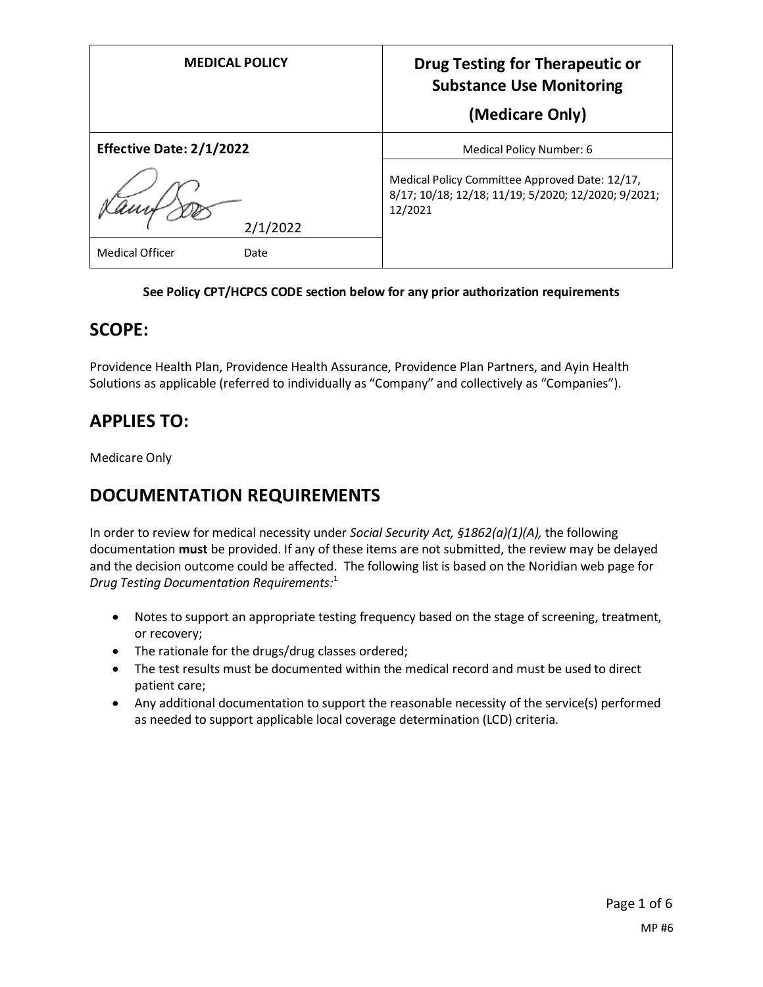| <b>MEDICAL POLICY</b>           | <b>Drug Testing for Therapeutic or</b><br><b>Substance Use Monitoring</b>                                        |
|---------------------------------|------------------------------------------------------------------------------------------------------------------|
|                                 | (Medicare Only)                                                                                                  |
| <b>Effective Date: 2/1/2022</b> | Medical Policy Number: 6                                                                                         |
| 2/1/2022                        | Medical Policy Committee Approved Date: 12/17,<br>8/17; 10/18; 12/18; 11/19; 5/2020; 12/2020; 9/2021;<br>12/2021 |
| <b>Medical Officer</b><br>Date  |                                                                                                                  |

### **See Policy CPT/HCPCS CODE section below for any prior authorization requirements**

### **SCOPE:**

Providence Health Plan, Providence Health Assurance, Providence Plan Partners, and Ayin Health Solutions as applicable (referred to individually as "Company" and collectively as "Companies").

## **APPLIES TO:**

Medicare Only

## **DOCUMENTATION REQUIREMENTS**

In order to review for medical necessity under *Social Security Act, §1862(a)(1)(A),* the following documentation **must** be provided. If any of these items are not submitted, the review may be delayed and the decision outcome could be affected. The following list is based on the Noridian web page for *Drug Testing Documentation Requirements:* 1

- Notes to support an appropriate testing frequency based on the stage of screening, treatment, or recovery;
- The rationale for the drugs/drug classes ordered;
- The test results must be documented within the medical record and must be used to direct patient care;
- Any additional documentation to support the reasonable necessity of the service(s) performed as needed to support applicable local coverage determination (LCD) criteria.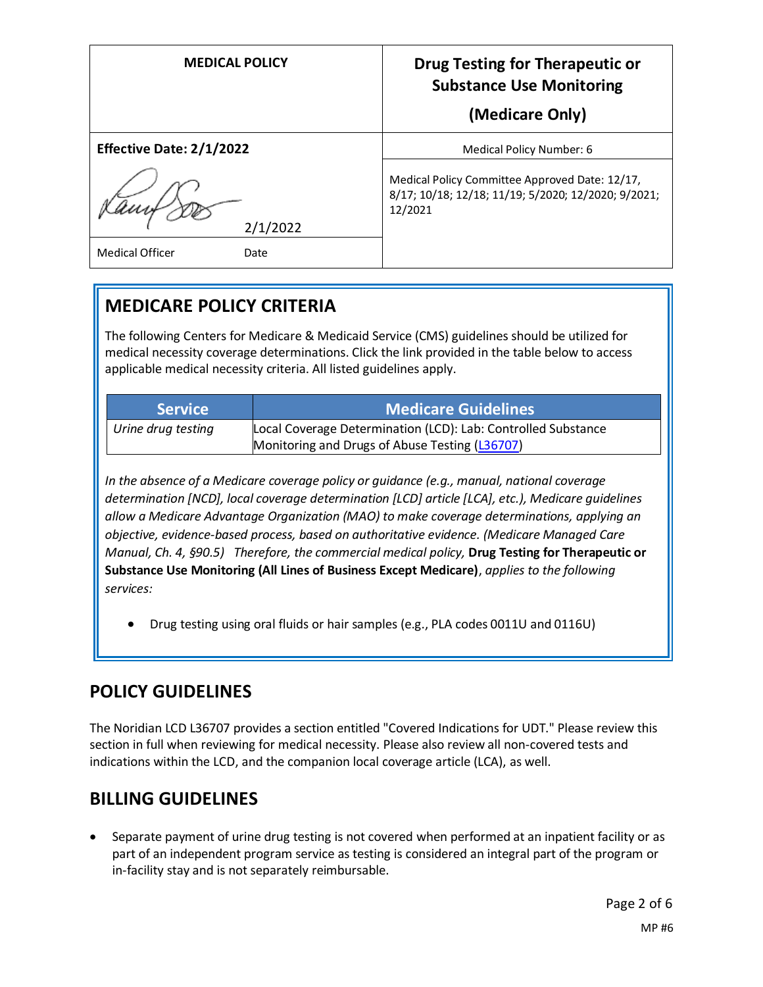| <b>MEDICAL POLICY</b>                      | <b>Drug Testing for Therapeutic or</b><br><b>Substance Use Monitoring</b><br>(Medicare Only)                     |
|--------------------------------------------|------------------------------------------------------------------------------------------------------------------|
| <b>Effective Date: 2/1/2022</b>            | Medical Policy Number: 6                                                                                         |
| 2/1/2022<br><b>Medical Officer</b><br>Date | Medical Policy Committee Approved Date: 12/17,<br>8/17; 10/18; 12/18; 11/19; 5/2020; 12/2020; 9/2021;<br>12/2021 |

# **MEDICARE POLICY CRITERIA**

The following Centers for Medicare & Medicaid Service (CMS) guidelines should be utilized for medical necessity coverage determinations. Click the link provided in the table below to access applicable medical necessity criteria. All listed guidelines apply.

| <b>Service</b>     | <b>Medicare Guidelines</b>                                    |
|--------------------|---------------------------------------------------------------|
| Urine drug testing | Local Coverage Determination (LCD): Lab: Controlled Substance |
|                    | Monitoring and Drugs of Abuse Testing (L36707)                |

*In the absence of a Medicare coverage policy or guidance (e.g., manual, national coverage determination [NCD], local coverage determination [LCD] article [LCA], etc.), Medicare guidelines allow a Medicare Advantage Organization (MAO) to make coverage determinations, applying an objective, evidence-based process, based on authoritative evidence. (Medicare Managed Care Manual, Ch. 4, §90.5) Therefore, the commercial medical policy,* **Drug Testing for Therapeutic or Substance Use Monitoring (All Lines of Business Except Medicare)**, *applies to the following services:*

• Drug testing using oral fluids or hair samples (e.g., PLA codes 0011U and 0116U)

## **POLICY GUIDELINES**

The Noridian LCD L36707 provides a section entitled "Covered Indications for UDT." Please review this section in full when reviewing for medical necessity. Please also review all non-covered tests and indications within the LCD, and the companion local coverage article (LCA), as well.

## **BILLING GUIDELINES**

• Separate payment of urine drug testing is not covered when performed at an inpatient facility or as part of an independent program service as testing is considered an integral part of the program or in-facility stay and is not separately reimbursable.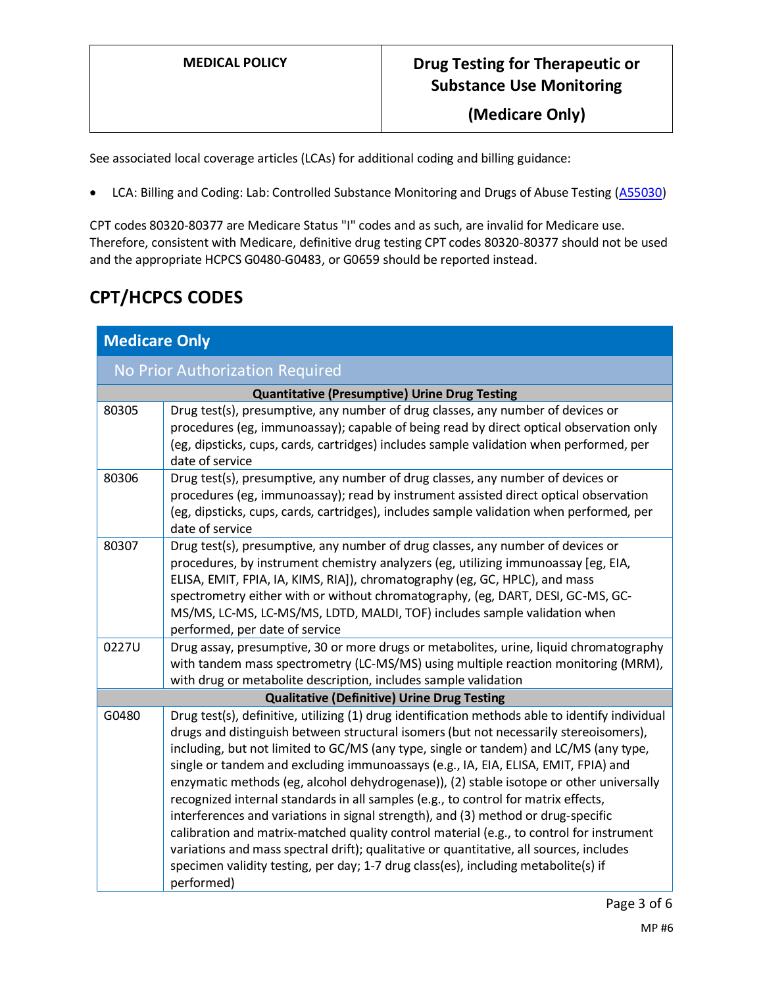See associated local coverage articles (LCAs) for additional coding and billing guidance:

• LCA: Billing and Coding: Lab: Controlled Substance Monitoring and Drugs of Abuse Testing [\(A55030\)](https://www.cms.gov/medicare-coverage-database/details/article-details.aspx?articleId=55030)

CPT codes 80320-80377 are Medicare Status "I" codes and as such, are invalid for Medicare use. Therefore, consistent with Medicare, definitive drug testing CPT codes 80320-80377 should not be used and the appropriate HCPCS G0480-G0483, or G0659 should be reported instead.

## **CPT/HCPCS CODES**

| <b>Medicare Only</b>                               |                                                                                                                                                                                                                                                                                                                                                                                                                                                                                                                                                                                                                                                                                                                                                                                                                                                                                                                                          |
|----------------------------------------------------|------------------------------------------------------------------------------------------------------------------------------------------------------------------------------------------------------------------------------------------------------------------------------------------------------------------------------------------------------------------------------------------------------------------------------------------------------------------------------------------------------------------------------------------------------------------------------------------------------------------------------------------------------------------------------------------------------------------------------------------------------------------------------------------------------------------------------------------------------------------------------------------------------------------------------------------|
| No Prior Authorization Required                    |                                                                                                                                                                                                                                                                                                                                                                                                                                                                                                                                                                                                                                                                                                                                                                                                                                                                                                                                          |
|                                                    | <b>Quantitative (Presumptive) Urine Drug Testing</b>                                                                                                                                                                                                                                                                                                                                                                                                                                                                                                                                                                                                                                                                                                                                                                                                                                                                                     |
| 80305                                              | Drug test(s), presumptive, any number of drug classes, any number of devices or<br>procedures (eg, immunoassay); capable of being read by direct optical observation only<br>(eg, dipsticks, cups, cards, cartridges) includes sample validation when performed, per<br>date of service                                                                                                                                                                                                                                                                                                                                                                                                                                                                                                                                                                                                                                                  |
| 80306                                              | Drug test(s), presumptive, any number of drug classes, any number of devices or<br>procedures (eg, immunoassay); read by instrument assisted direct optical observation<br>(eg, dipsticks, cups, cards, cartridges), includes sample validation when performed, per<br>date of service                                                                                                                                                                                                                                                                                                                                                                                                                                                                                                                                                                                                                                                   |
| 80307                                              | Drug test(s), presumptive, any number of drug classes, any number of devices or<br>procedures, by instrument chemistry analyzers (eg, utilizing immunoassay [eg, EIA,<br>ELISA, EMIT, FPIA, IA, KIMS, RIA]), chromatography (eg, GC, HPLC), and mass<br>spectrometry either with or without chromatography, (eg, DART, DESI, GC-MS, GC-<br>MS/MS, LC-MS, LC-MS/MS, LDTD, MALDI, TOF) includes sample validation when<br>performed, per date of service                                                                                                                                                                                                                                                                                                                                                                                                                                                                                   |
| 0227U                                              | Drug assay, presumptive, 30 or more drugs or metabolites, urine, liquid chromatography<br>with tandem mass spectrometry (LC-MS/MS) using multiple reaction monitoring (MRM),<br>with drug or metabolite description, includes sample validation                                                                                                                                                                                                                                                                                                                                                                                                                                                                                                                                                                                                                                                                                          |
| <b>Qualitative (Definitive) Urine Drug Testing</b> |                                                                                                                                                                                                                                                                                                                                                                                                                                                                                                                                                                                                                                                                                                                                                                                                                                                                                                                                          |
| G0480                                              | Drug test(s), definitive, utilizing (1) drug identification methods able to identify individual<br>drugs and distinguish between structural isomers (but not necessarily stereoisomers),<br>including, but not limited to GC/MS (any type, single or tandem) and LC/MS (any type,<br>single or tandem and excluding immunoassays (e.g., IA, EIA, ELISA, EMIT, FPIA) and<br>enzymatic methods (eg, alcohol dehydrogenase)), (2) stable isotope or other universally<br>recognized internal standards in all samples (e.g., to control for matrix effects,<br>interferences and variations in signal strength), and (3) method or drug-specific<br>calibration and matrix-matched quality control material (e.g., to control for instrument<br>variations and mass spectral drift); qualitative or quantitative, all sources, includes<br>specimen validity testing, per day; 1-7 drug class(es), including metabolite(s) if<br>performed) |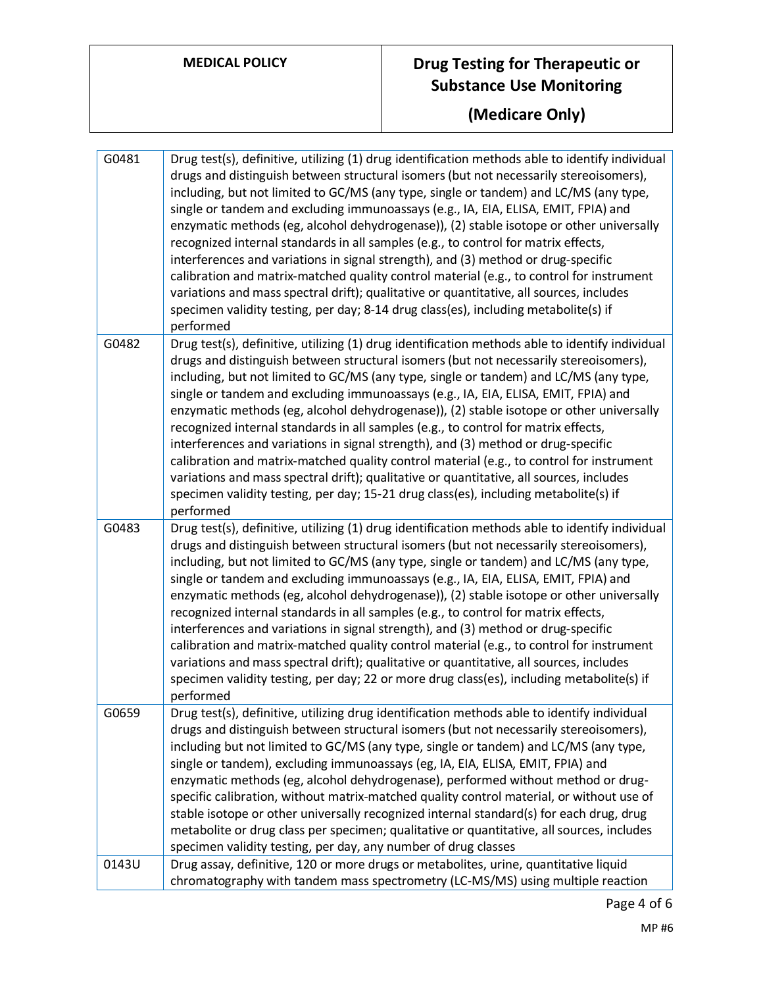# **MEDICAL POLICY Drug Testing for Therapeutic or Substance Use Monitoring**

**(Medicare Only)**

| G0481 | Drug test(s), definitive, utilizing (1) drug identification methods able to identify individual<br>drugs and distinguish between structural isomers (but not necessarily stereoisomers),<br>including, but not limited to GC/MS (any type, single or tandem) and LC/MS (any type,<br>single or tandem and excluding immunoassays (e.g., IA, EIA, ELISA, EMIT, FPIA) and<br>enzymatic methods (eg, alcohol dehydrogenase)), (2) stable isotope or other universally<br>recognized internal standards in all samples (e.g., to control for matrix effects,<br>interferences and variations in signal strength), and (3) method or drug-specific<br>calibration and matrix-matched quality control material (e.g., to control for instrument<br>variations and mass spectral drift); qualitative or quantitative, all sources, includes<br>specimen validity testing, per day; 8-14 drug class(es), including metabolite(s) if<br>performed       |
|-------|------------------------------------------------------------------------------------------------------------------------------------------------------------------------------------------------------------------------------------------------------------------------------------------------------------------------------------------------------------------------------------------------------------------------------------------------------------------------------------------------------------------------------------------------------------------------------------------------------------------------------------------------------------------------------------------------------------------------------------------------------------------------------------------------------------------------------------------------------------------------------------------------------------------------------------------------|
| G0482 | Drug test(s), definitive, utilizing (1) drug identification methods able to identify individual<br>drugs and distinguish between structural isomers (but not necessarily stereoisomers),<br>including, but not limited to GC/MS (any type, single or tandem) and LC/MS (any type,<br>single or tandem and excluding immunoassays (e.g., IA, EIA, ELISA, EMIT, FPIA) and<br>enzymatic methods (eg, alcohol dehydrogenase)), (2) stable isotope or other universally<br>recognized internal standards in all samples (e.g., to control for matrix effects,<br>interferences and variations in signal strength), and (3) method or drug-specific<br>calibration and matrix-matched quality control material (e.g., to control for instrument<br>variations and mass spectral drift); qualitative or quantitative, all sources, includes<br>specimen validity testing, per day; 15-21 drug class(es), including metabolite(s) if<br>performed      |
| G0483 | Drug test(s), definitive, utilizing (1) drug identification methods able to identify individual<br>drugs and distinguish between structural isomers (but not necessarily stereoisomers),<br>including, but not limited to GC/MS (any type, single or tandem) and LC/MS (any type,<br>single or tandem and excluding immunoassays (e.g., IA, EIA, ELISA, EMIT, FPIA) and<br>enzymatic methods (eg, alcohol dehydrogenase)), (2) stable isotope or other universally<br>recognized internal standards in all samples (e.g., to control for matrix effects,<br>interferences and variations in signal strength), and (3) method or drug-specific<br>calibration and matrix-matched quality control material (e.g., to control for instrument<br>variations and mass spectral drift); qualitative or quantitative, all sources, includes<br>specimen validity testing, per day; 22 or more drug class(es), including metabolite(s) if<br>performed |
| G0659 | Drug test(s), definitive, utilizing drug identification methods able to identify individual<br>drugs and distinguish between structural isomers (but not necessarily stereoisomers),<br>including but not limited to GC/MS (any type, single or tandem) and LC/MS (any type,<br>single or tandem), excluding immunoassays (eg, IA, EIA, ELISA, EMIT, FPIA) and<br>enzymatic methods (eg, alcohol dehydrogenase), performed without method or drug-<br>specific calibration, without matrix-matched quality control material, or without use of<br>stable isotope or other universally recognized internal standard(s) for each drug, drug<br>metabolite or drug class per specimen; qualitative or quantitative, all sources, includes<br>specimen validity testing, per day, any number of drug classes                                                                                                                                       |
| 0143U | Drug assay, definitive, 120 or more drugs or metabolites, urine, quantitative liquid<br>chromatography with tandem mass spectrometry (LC-MS/MS) using multiple reaction                                                                                                                                                                                                                                                                                                                                                                                                                                                                                                                                                                                                                                                                                                                                                                        |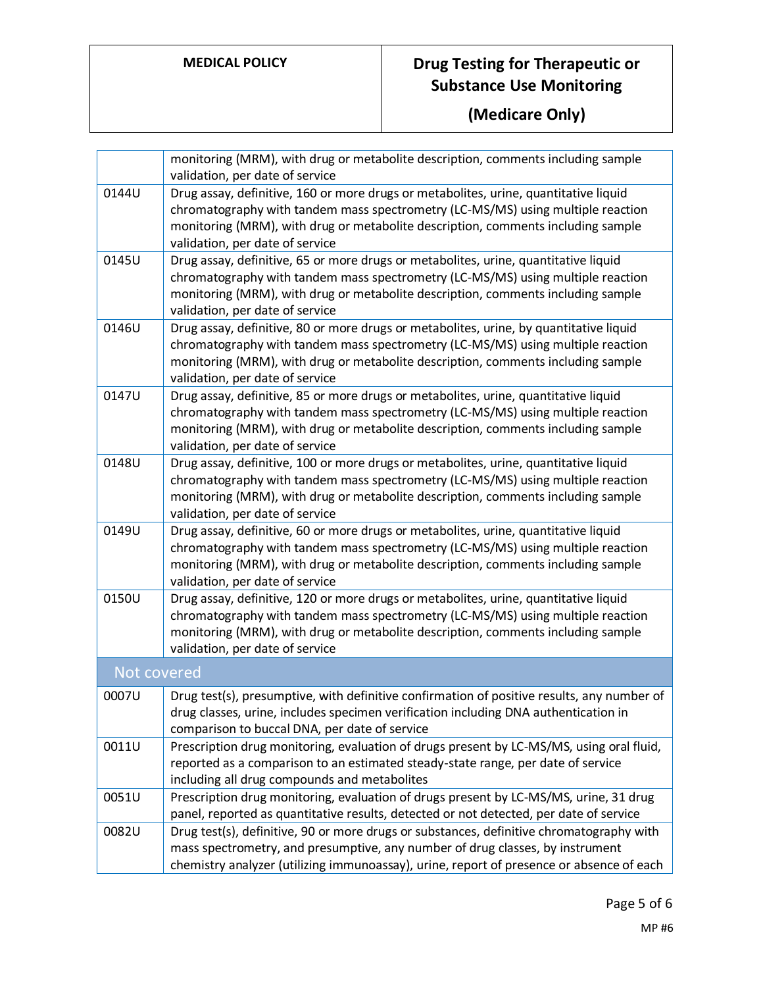# **MEDICAL POLICY Drug Testing for Therapeutic or Substance Use Monitoring**

**(Medicare Only)**

|             | monitoring (MRM), with drug or metabolite description, comments including sample<br>validation, per date of service                                                                                                                                                                              |
|-------------|--------------------------------------------------------------------------------------------------------------------------------------------------------------------------------------------------------------------------------------------------------------------------------------------------|
| 0144U       | Drug assay, definitive, 160 or more drugs or metabolites, urine, quantitative liquid<br>chromatography with tandem mass spectrometry (LC-MS/MS) using multiple reaction<br>monitoring (MRM), with drug or metabolite description, comments including sample<br>validation, per date of service   |
| 0145U       | Drug assay, definitive, 65 or more drugs or metabolites, urine, quantitative liquid<br>chromatography with tandem mass spectrometry (LC-MS/MS) using multiple reaction<br>monitoring (MRM), with drug or metabolite description, comments including sample<br>validation, per date of service    |
| 0146U       | Drug assay, definitive, 80 or more drugs or metabolites, urine, by quantitative liquid<br>chromatography with tandem mass spectrometry (LC-MS/MS) using multiple reaction<br>monitoring (MRM), with drug or metabolite description, comments including sample<br>validation, per date of service |
| 0147U       | Drug assay, definitive, 85 or more drugs or metabolites, urine, quantitative liquid<br>chromatography with tandem mass spectrometry (LC-MS/MS) using multiple reaction<br>monitoring (MRM), with drug or metabolite description, comments including sample<br>validation, per date of service    |
| 0148U       | Drug assay, definitive, 100 or more drugs or metabolites, urine, quantitative liquid<br>chromatography with tandem mass spectrometry (LC-MS/MS) using multiple reaction<br>monitoring (MRM), with drug or metabolite description, comments including sample<br>validation, per date of service   |
| 0149U       | Drug assay, definitive, 60 or more drugs or metabolites, urine, quantitative liquid<br>chromatography with tandem mass spectrometry (LC-MS/MS) using multiple reaction<br>monitoring (MRM), with drug or metabolite description, comments including sample<br>validation, per date of service    |
| 0150U       | Drug assay, definitive, 120 or more drugs or metabolites, urine, quantitative liquid<br>chromatography with tandem mass spectrometry (LC-MS/MS) using multiple reaction<br>monitoring (MRM), with drug or metabolite description, comments including sample<br>validation, per date of service   |
| Not covered |                                                                                                                                                                                                                                                                                                  |
| 0007U       | Drug test(s), presumptive, with definitive confirmation of positive results, any number of<br>drug classes, urine, includes specimen verification including DNA authentication in<br>comparison to buccal DNA, per date of service                                                               |
| 0011U       | Prescription drug monitoring, evaluation of drugs present by LC-MS/MS, using oral fluid,<br>reported as a comparison to an estimated steady-state range, per date of service<br>including all drug compounds and metabolites                                                                     |
| 0051U       | Prescription drug monitoring, evaluation of drugs present by LC-MS/MS, urine, 31 drug<br>panel, reported as quantitative results, detected or not detected, per date of service                                                                                                                  |
| 0082U       | Drug test(s), definitive, 90 or more drugs or substances, definitive chromatography with<br>mass spectrometry, and presumptive, any number of drug classes, by instrument<br>chemistry analyzer (utilizing immunoassay), urine, report of presence or absence of each                            |